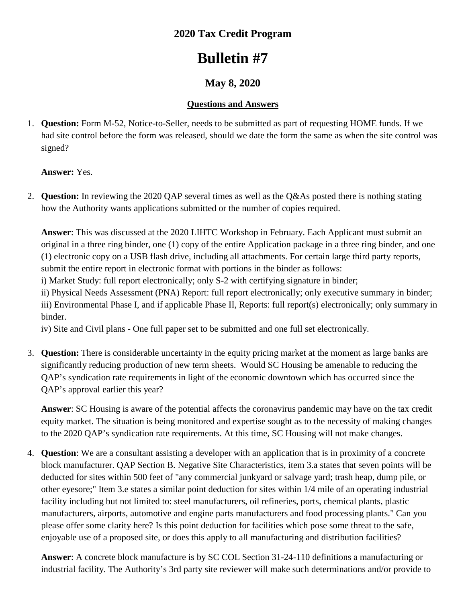### **2020 Tax Credit Program**

# **Bulletin #7**

## **May 8, 2020**

#### **Questions and Answers**

1. **Question:** Form M-52, Notice-to-Seller, needs to be submitted as part of requesting HOME funds. If we had site control before the form was released, should we date the form the same as when the site control was signed?

**Answer:** Yes.

2. **Question:** In reviewing the 2020 QAP several times as well as the Q&As posted there is nothing stating how the Authority wants applications submitted or the number of copies required.

**Answer**: This was discussed at the 2020 LIHTC Workshop in February. Each Applicant must submit an original in a three ring binder, one (1) copy of the entire Application package in a three ring binder, and one (1) electronic copy on a USB flash drive, including all attachments. For certain large third party reports, submit the entire report in electronic format with portions in the binder as follows:

i) Market Study: full report electronically; only S-2 with certifying signature in binder;

ii) Physical Needs Assessment (PNA) Report: full report electronically; only executive summary in binder; iii) Environmental Phase I, and if applicable Phase II, Reports: full report(s) electronically; only summary in binder.

iv) Site and Civil plans - One full paper set to be submitted and one full set electronically.

3. **Question:** There is considerable uncertainty in the equity pricing market at the moment as large banks are significantly reducing production of new term sheets. Would SC Housing be amenable to reducing the QAP's syndication rate requirements in light of the economic downtown which has occurred since the QAP's approval earlier this year?

**Answer**: SC Housing is aware of the potential affects the coronavirus pandemic may have on the tax credit equity market. The situation is being monitored and expertise sought as to the necessity of making changes to the 2020 QAP's syndication rate requirements. At this time, SC Housing will not make changes.

4. **Question**: We are a consultant assisting a developer with an application that is in proximity of a concrete block manufacturer. QAP Section B. Negative Site Characteristics, item 3.a states that seven points will be deducted for sites within 500 feet of "any commercial junkyard or salvage yard; trash heap, dump pile, or other eyesore;" Item 3.e states a similar point deduction for sites within 1/4 mile of an operating industrial facility including but not limited to: steel manufacturers, oil refineries, ports, chemical plants, plastic manufacturers, airports, automotive and engine parts manufacturers and food processing plants." Can you please offer some clarity here? Is this point deduction for facilities which pose some threat to the safe, enjoyable use of a proposed site, or does this apply to all manufacturing and distribution facilities?

**Answer**: A concrete block manufacture is by SC COL Section 31-24-110 definitions a manufacturing or industrial facility. The Authority's 3rd party site reviewer will make such determinations and/or provide to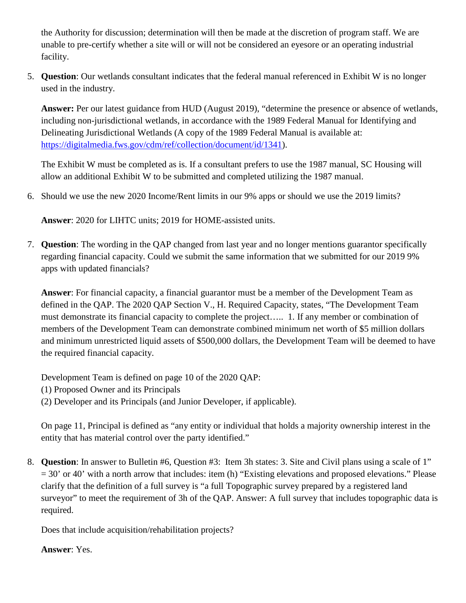the Authority for discussion; determination will then be made at the discretion of program staff. We are unable to pre-certify whether a site will or will not be considered an eyesore or an operating industrial facility.

5. **Question**: Our wetlands consultant indicates that the federal manual referenced in Exhibit W is no longer used in the industry.

**Answer:** Per our latest guidance from HUD (August 2019), "determine the presence or absence of wetlands, including non-jurisdictional wetlands, in accordance with the 1989 Federal Manual for Identifying and Delineating Jurisdictional Wetlands (A copy of the 1989 Federal Manual is available at: [https://digitalmedia.fws.gov/cdm/ref/collection/document/id/1341\)](https://digitalmedia.fws.gov/cdm/ref/collection/document/id/1341).

The Exhibit W must be completed as is. If a consultant prefers to use the 1987 manual, SC Housing will allow an additional Exhibit W to be submitted and completed utilizing the 1987 manual.

6. Should we use the new 2020 Income/Rent limits in our 9% apps or should we use the 2019 limits?

**Answer**: 2020 for LIHTC units; 2019 for HOME-assisted units.

7. **Question**: The wording in the QAP changed from last year and no longer mentions guarantor specifically regarding financial capacity. Could we submit the same information that we submitted for our 2019 9% apps with updated financials?

**Answer**: For financial capacity, a financial guarantor must be a member of the Development Team as defined in the QAP. The 2020 QAP Section V., H. Required Capacity, states, "The Development Team must demonstrate its financial capacity to complete the project….. 1. If any member or combination of members of the Development Team can demonstrate combined minimum net worth of \$5 million dollars and minimum unrestricted liquid assets of \$500,000 dollars, the Development Team will be deemed to have the required financial capacity.

Development Team is defined on page 10 of the 2020 QAP:

(1) Proposed Owner and its Principals

(2) Developer and its Principals (and Junior Developer, if applicable).

On page 11, Principal is defined as "any entity or individual that holds a majority ownership interest in the entity that has material control over the party identified."

8. **Question**: In answer to Bulletin #6, Question #3: Item 3h states: 3. Site and Civil plans using a scale of 1" = 30' or 40' with a north arrow that includes: item (h) "Existing elevations and proposed elevations." Please clarify that the definition of a full survey is "a full Topographic survey prepared by a registered land surveyor" to meet the requirement of 3h of the QAP. Answer: A full survey that includes topographic data is required.

Does that include acquisition/rehabilitation projects?

#### **Answer**: Yes.